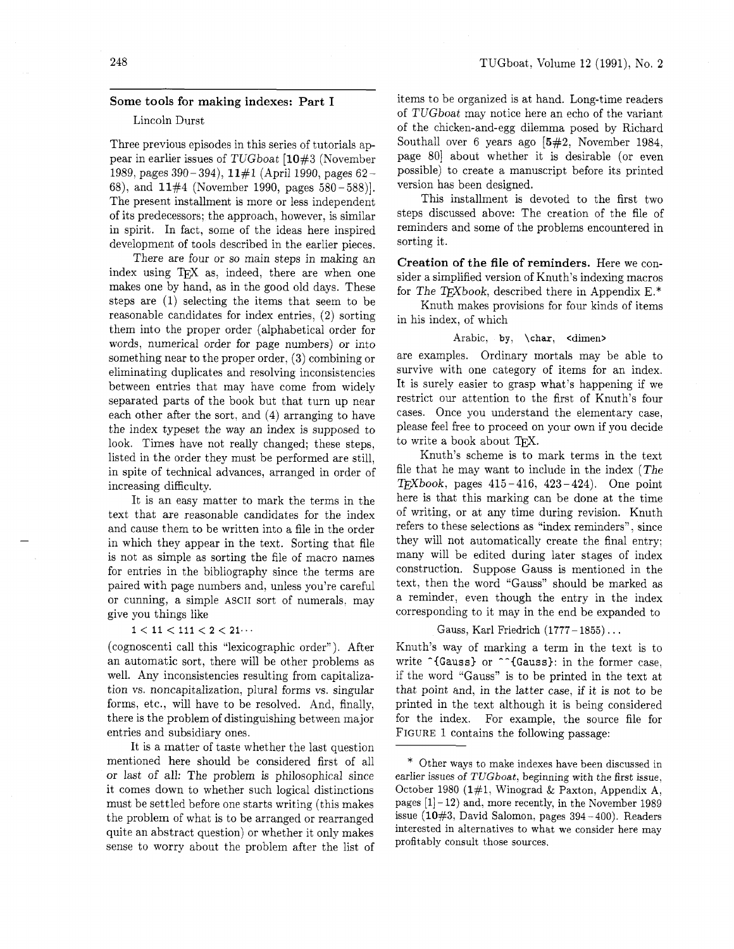## **Some** tools **for making indexes: Part I**

# Lincoln Durst

Three previous episodes in this series of tutorials appear in earlier issues of TUGboat [10#3 (November 1989, pages 390-394), 11#1 (April 1990, pages 62-68), and 11#4 (November 1990, pages 580 - 588)]. The present installment is more or less independent of its predecessors; the approach, however, is similar in spirit. In fact, some of the ideas here inspired development of tools described in the earlier pieces.

There are four or so main steps in making an index using T<sub>F</sub>X as, indeed, there are when one makes one by hand. as in the good old days. These steps are (1) selecting the items that seem to be reasonable candidates for index entries, (2) sorting them into the proper order (alphabetical order for words, numerical order for page numbers) or into something near to the proper order, **(3)** combining or eliminating duplicates and resolving inconsistencies between entries that may have come from widely separated parts of the book but that turn up near each other after the sort, and (4) arranging to have the index typeset the way an index is supposed to look. Times have not really changed; these steps, listed in the order they must be performed are still, in spite of technical advances, arranged in order of increasing difficulty.

It is an easy matter to mark the terms in the text that are reasonable candidates for the index and cause them to be written into a file in the order in which they appear in the text. Sorting that file is not as simple as sorting the file of macro names for entries in the bibliography since the terms are paired with page numbers and. unless you're careful or cunning, a simple ASCII sort of numerals, may give you things like

### $1 < 11 < 111 < 2 < 21...$

(cognoscenti call this "lexicographic order"). After an automatic sort, there will be other problems as well. Any inconsistencies resulting from capitalization vs. noncapitalization, plural forms vs. singular forms, etc., will have to be resolved. And, finally, there is the problem of distinguishing between major entries and subsidiary ones.

It is a matter of taste whether the last question mentioned here should be considered first of all or last of all: The problem is philosophical since it comes down to whether such logical distinctions must be settled before one starts writing (this makes the problem of what is to be arranged or rearranged quite an abstract question) or whether it only makes sense to worry about the problem after the list of items to be organized is at hand. Long-time readers of TUGboat may notice here an echo of the variant of the chicken-and-egg dilemma posed by Richard Southall over 6 years ago [5#2, November 1984, page 801 about whether it is desirable (or even possible) to create a manuscript before its printed version has been designed.

This installment is devoted to the first two steps discussed above: The creation of the file of reminders and some of the problems encountered in sorting it.

**Creation of the file of reminders.** Here we consider a simplified version of Knuth's indexing macros for The TEXbook, described there in Appendix E.\*

Knuth makes provisions for four kinds of items in his index, of which

#### Arabic, by, **\char,** <dimen>

are examples. Ordinary mortals may be able to survive with one category of items for an index. It is surely easier to grasp what's happening if we restrict our attention to the first of Knuth's four cases. Once you understand the elementary case, please feel free to proceed on your own if you decide to write a book about TFX.

Knuth's scheme is to mark terms in the text file that he may want to include in the index (The  $TFXbook$ , pages  $415 - 416$ ,  $423 - 424$ ). One point here is that this marking can be done at the time of writing, or at any time during revision. Knuth refers to these selections as "index reminders", since they will not automatically create the final entry; many will be edited during later stages of index construction. Suppose Gauss is mentioned in the text, then the word "Gauss" should be marked as a reminder, even though the entry in the index corresponding to it may in the end be expanded to

#### Gauss, Karl Friedrich (1777- 1855) . . .

Knuth's way of marking a term in the text is to write **^{Gauss}** or **^^{Gauss}**: in the former case, if the word "Gauss" is to be printed in the text at that point and, in the latter case, if it is not to be printed in the text although it is being considered for the index. For example, the source file for FIGURE 1 contains the following passage:

<sup>\*</sup> Other ways to make indexes have been discussed in earlier issues of TUGboat, beginning with the first issue, October 1980 (1#1, Winograd & Paxton, Appendix **A,**  pages  $[1]$  - 12) and, more recently, in the November 1989 issue  $(10#3,$  David Salomon, pages  $394-400$ ). Readers interested in alternatives to what we consider here may profitably consult those sources.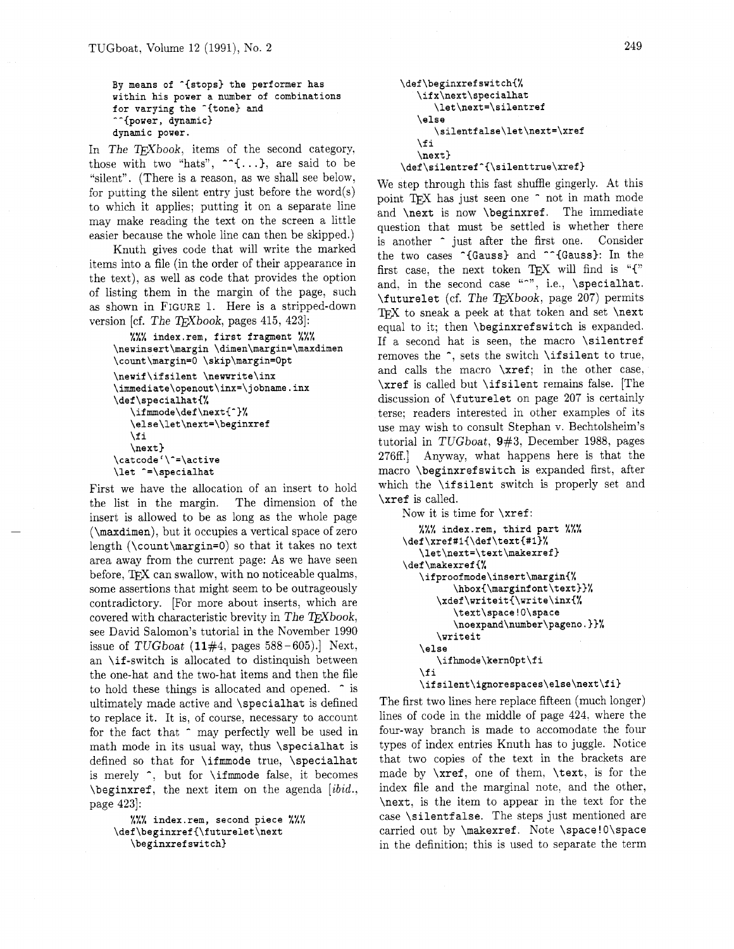```
By means of ^{stops) the performer has 
within his power a number of combinations 
for varying the <sup>-{tone}</sup> and
-^{power, dynamic) 
dynamic power.
```
In The TEXbook, items of the second category, those with two "hats",  $\lceil \cdot ( \ldots ) \rceil$ , are said to be "silent". (There is a reason, as we shall see below, for putting the silent entry just before the word(s) to which it applies; putting it on a separate line may make reading the text on the screen a little easier because the whole line can then be skipped.)

Knuth gives code that will write the marked items into a file (in the order of their appearance in the text), as well as code that provides the option of listing them in the margin of the page, such as shown in FIGURE 1. Here is a stripped-down version [cf. The TEXbook, pages 415, 423]:

```
%%% index.rem, first fragment %%% 
\newinsert\margin \dimen\margin=\maxdimen 
\count\margin=O \skip\margin=Opt 
\newif\ifsilent \newwrite\inx 
\immediate\openout\inx=\ jobname. inx 
\def\specialhat{% 
   \if mmode\def \next{-)% 
   \else\let\next=\beginxref 
   \f i 
   \next) 
\catcode1\-=\active 
\let ^=\specialhat
```
First we have the allocation of an insert to hold the list in the margin. The dimension of the insert is allowed to be as long as the whole page (\maxdimen), but it occupies a vertical space of zero length (\count\margin=O) so that it takes no text area away from the current page: As we have seen before, TEX can swallow, with no noticeable qualms, some assertions that might seem to be outrageously contradictory. [For more about inserts, which are covered with characteristic brevity in The TEXbook, see David Salomon's tutorial in the November 1990 issue of TUGboat  $(11#4, \text{ pages } 588-605)$ . Next, an \if-switch is allocated to distinquish between the one-hat and the two-hat items and then the file to hold these things is allocated and opened.  $\hat{\ }$  is ultimately made active and \specialhat is defined to replace it. It is, of course, necessary to account for the fact that  $\hat{ }$  may perfectly well be used in math mode in its usual way, thus \specialhat is defined so that for \ifmmode true, \specialhat is merely  $\hat{\ }$ , but for  $\hat{\ }$  if mode false, it becomes  $\begin{bmatrix} \begin{array}{c} \Delta \end{array} \end{bmatrix}$ page 423.

%%% **index.rem, second piece** %%% **\def \beginxref {\futurelet\next \beginxrefswitch)** 

```
\def\beginxrefswitch{%
   \ifx\next\specialhat
       \let\next=\silentref
   \else
      \verb|\silentfalse\let\next=\\xref\fi
   \text{next}\def\silentref^{\silenttrue\xref}
```
We step through this fast shuffle gingerly. At this point TFX has just seen one  $\hat{ }$  not in math mode and \next is now \beginxref. The immediate question that must be settled is whether there is another  $\hat{ }$  just after the first one. Consider the two cases  $\widehat{\phantom{a}}$  (Gauss) and  $\widehat{\phantom{a}}$  (Gauss): In the first case, the next token TEX will find is **"C"**  and, in the second case "-", i.e., \specialhat. \futurelet (cf. The TEXbook, page 207) permits T<sub>F</sub>X to sneak a peek at that token and set  $\text{next}$ equal to it; then \beginxref switch is expanded. If a second hat is seen, the macro \silentref removes the  $\hat{\ }$ , sets the switch  $\hat{\ }$  ifsilent to true, and calls the macro \xref; in the other case, \xref is called but \ifsilent remains false. [The discussion of \futurelet on page 207 is certainly terse; readers interested in other examples of its use may wish to consult Stephan v. Bechtolsheim's tutorial in TUGboat, **9#3,** December 1988, pages 276ff.j Anyway, what happens here is that the macro \beginxrefswitch is expanded first, after which the **\ifsilent** switch is properly set and \xref is called.

```
Now it is time for \xref: 
   %%% index.rem, third part %%% 
\def\xref#i{\def\text{#l)% 
   \let\next=\text\makexref} 
\def\makexref{% 
   \ifproofmode\insert\margin{% 
         \hbox{\marginfont\text))% 
      \xdef\writeit{\write\inx{% 
         \text\space!O\space 
         \noexpand\number\pageno.))% 
      \writeit 
   \else 
      \ifhmode\kernOpt\fi 
   \f i 
   \ifsilent\ignorespaces\else\next\fi)
```
The first two lines here replace fifteen (much longer) lines of code in the middle of page 424. where the four-way branch is made to accomodate the four types of index entries Knuth has to juggle. Notice that two copies of the text in the brackets are made by \xref, one of them, \text, is for the index file and the marginal note, and the other, \next, is the item to appear in the text for the case **\silentfalse**. The steps just mentioned are carried out by \makexref. Note \space ! O\space in the definition; this is used to separate the term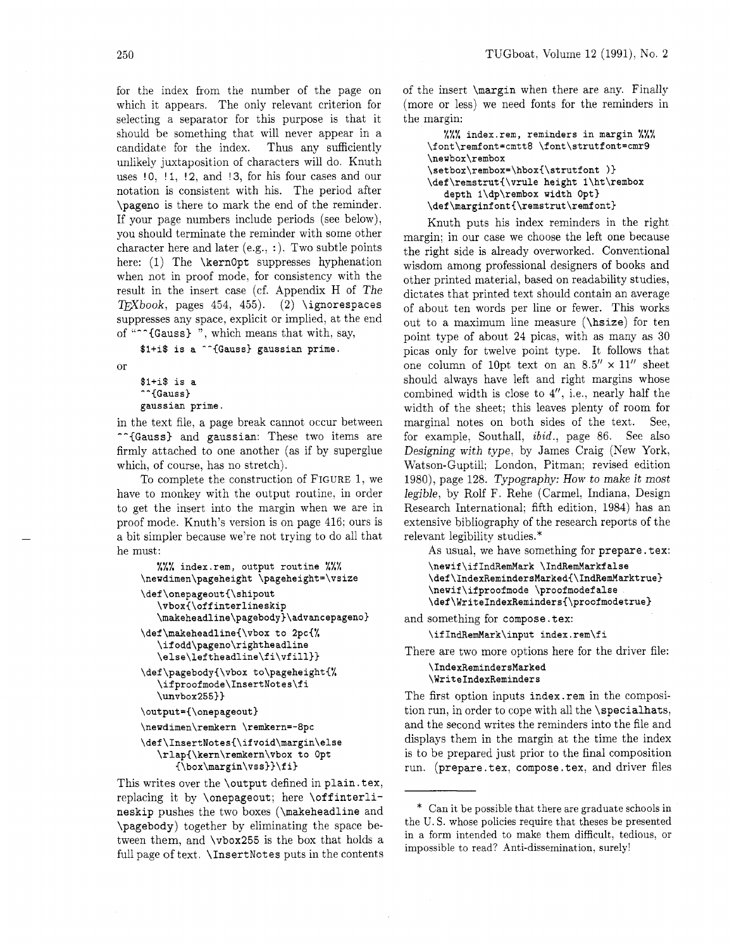250

for the index from the number of the page on which it appears. The only relevant criterion for selecting a separator for this purpose is that it should be something that will never appear in a candidate for the index. Thus any sufficiently unlikely juxtaposition of characters will do. Knuth uses  $10, 11, 12,$  and  $13,$  for his four cases and our notation is consistent with his. The period after \pageno is there to mark the end of the reminder. If your page numbers include periods (see below), you should terminate the reminder with some other character here and later  $(e.g., :)$ . Two subtle points here: (1) The **\kernopt** suppresses hyphenation when not in proof mode, for consistency with the result in the insert case (cf. Appendix H of The  $TrXbook$ , pages 454, 455). (2) \ignorespaces suppresses any space, explicit or implied, at the end of "<sup>--</sup>{Gauss}", which means that with, say,

**\$l+i\$ is a ^-(Gauss) gaussian prime.** 

```
or
```

```
$l+i$ is a 
-^{Gauss) 
gaussian prime
```
in the text file, a page break cannot occur between -- (Gauss) and gaussian: These two items are firmly attached to one another (as if by superglue which, of course, has no stretch).

To complete the construction of FIGURE 1, we have to monkey with the output routine, in order to get the insert into the margin when we are in proof mode. Knuth's version is on page 416; ours is a bit simpler because we're not trying to do all that he must:

```
0,. index.rem, output routine %%% 
\newdimen\pageheight \pageheight=\vsize 
\def\onepageout{\shipout 
   \vbox{\offinterlineskip 
   \makeheadline\pagebody)\advancepageno~ 
\def\makeheadline(\vbox to 2pc{% 
   \ifodd\pageno\rightheadline 
   \else\lef theadline\f i\vf ill}} 
\def \pagebody{\vbox to\pageheight{% 
   \ifproofmode\InsertNotes\fi 
   \unvbox255}) 
\output={\onepageout}
\newdimen\remkern \remkern=-8pc
\def \InsertNotes{\if void\margin\else 
   \rlap{\kern\remkern\vbox to Opt 
      {\box\margin\vss})\f i)
```
This writes over the \output defined in plain. tex, replacing it by \onepageout; here \offinterlineskip pushes the two boxes (\makeheadline and \pagebody) together by eliminating the space between them, and \vbox255 is the box that holds a full page of text. \InsertNotes puts in the contents

of the insert \margin when there are any. Finally (more or less) we need fonts for the reminders in the margin:

```
%%% index.rem, reminders in margin %%% 
\font\remfont=cmtt8 \font\strutfont=cmr9 
\newbox\rembox 
\setbox\rembox=\hbox(\strutfont )} 
\def\remstrut{\vrule height l\ht\rembox 
  depth l\dp\rembox width Opt) 
\def\marginfont{\remstrut\remfont)
```
Knuth puts his index reminders in the right margin; in our case we choose the left one because the right side is already overworked. Conventional wisdom among professional designers of books and other printed material, based on readability studies, dictates that printed text should contain an average of about ten words per line or fewer. This works out to a maximum line measure (\hsize) for ten point type of about 24 picas, with as many as 30 picas only for twelve point type. It follows that one column of 10pt text on an  $8.5'' \times 11''$  sheet should always have left and right margins whose combined width is close to  $4''$ , i.e., nearly half the width of the sheet; this leaves plenty of room for marginal notes on both sides of the text. See, for example. Southall, **zbid.,** page 86. See also Designing with type. by James Craig (New York, Watson-Guptill; London, Pitman; revised edition 1980), page 128. Typography: How to make it most legible, by Rolf F. Rehe (Carmel. Indiana, Design Research International; fifth edition. 1984) has an extensive bibliography of the research reports of the relevant legibility studies.\*

As usual, we have something for prepare. tex:

```
\new if \if IndRemMark \IndRemMarkf alse 
\def\hdexRemindersMarked{\IndRemMarktrue} 
\newif\ifproofmode \proofmodef alse 
\def\WriteIndexReminders{\proofmodetrue}
```
and something for compose.tex:

\ifIndRemMark\input index.rem\fi

There are two more options here for the driver file:

**\IndexRemindersMarked \WriteIndexReminders** 

The first option inputs index. rem in the composition run, in order to cope with all the \specialhats, and the second writes the reminders into the file and displays them in the margin at the time the index is to be prepared just prior to the final composition run. (prepare. tex, compose. tex, and driver files

<sup>\*</sup> Can it be possible that there are graduate schools in the U. S. whose policies require that theses be presented in a form intended to make them difficult, tedious. or impossible to read? Anti-dissemination. surely!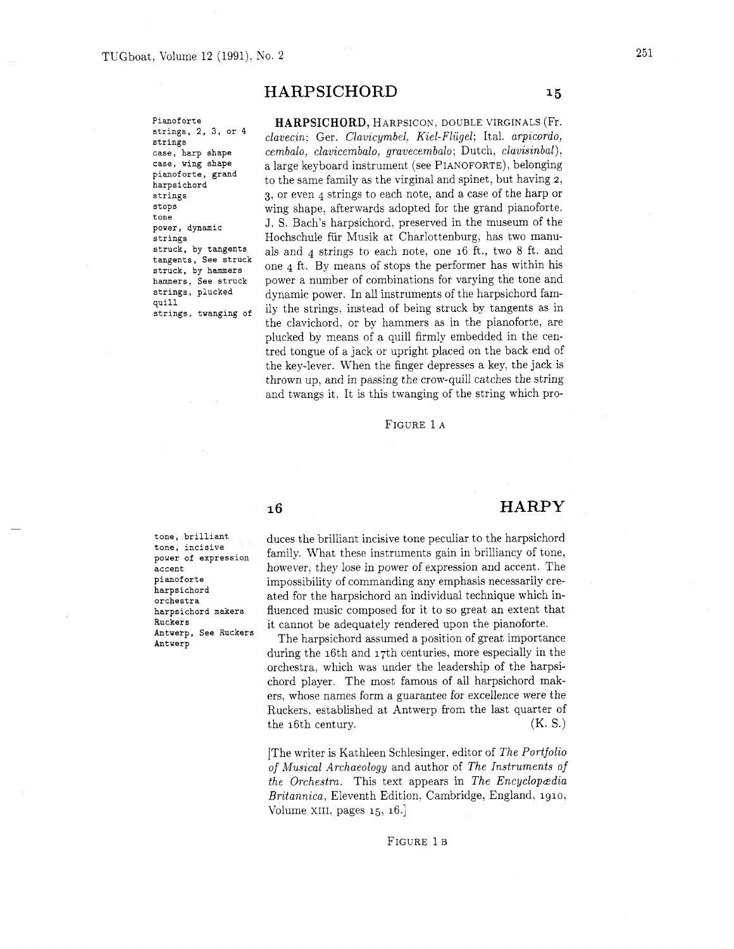# HARPSICHORD

**Pianoforte strings, 2, 3, or 4 strings case, harp shape case, wing shape pianoforte, grand harpsichord strings stops tone power, dynamic strings struck, by tangents tangents, See struck struck, by hammers hammers, See struck strings, plucked quill strings, twanging of** 

HARPSICHORD, HARPSICON. DOUBLE VIRGINALS (Fr.  $clavecin;$  Ger. *Clavicymbel, Kiel-Flügel*; Ital. *arpicordo*,  $cembalo, \ clavicembalo, \ gravecembalo; \ Dutch, \ clavisinbal),$ a large keyboard instrument (see PIANOFORTE), belonging to the same family as the virginal and spinet, but having 2, **3,** or even 4 strings to each note, and a case of the harp or wing shape. afterwards adopted for the grand pianoforte. J. S. Bach's harpsichord, preserved in the museum of the Hochschule fiir Musik at Charlottenburg. has two manuals and 4 strings to each note, one 16 ft., two 8 ft. and one 4 ft. By means of stops the performer has within his power a number of combinations for varying the tone and dynamic power. In all instruments of the harpsichord family the strings. instead of being struck by tangents as in the clavichord. or by hammers as in the pianoforte, are plucked by means of a quill firmly embedded in the centred tongue of a jack or upright placed on the back end of the key-lever. When the finger depresses a key. the jack is thrown up, and in passing the crow-quill catches the string and twangs it. It is this twanging of the string which pro-

FIGURE 1 A

# $16$

**tone, brilliant tone, incisive power of expression accent pianoforte harpsichord orchestra harpsichord makers Ruckers Antverp, See Ruckers Antwerp** 

duces the brilliant incisive tone peculiar to the harpsichord family. What these instruments gain in brilliancy of tone, however, they lose in power of expression and accent. The impossibility of commanding any emphasis necessarily created for the harpsichord an individual technique which influenced music composed for it to so great an extent that it cannot be adequately rendered upon the pianoforte.

The harpsichord assumed a position of great importance during the 16th and 17th centuries, more especially in the orchestra. which was under the leadership of the harpsichord player. The most famous of all harpsichord makers. whose names form a guarantee for excellence were the Ruckers. established at Antwerp from the last quarter of the 16th century.  $(K, S)$ 

[The writer is Kathleen Schlesinger, editor of *The Portfolio of Musical Archaeology* and author of *The Instruments of the Orchestra.* This text appears in *The Encyclopedia Britannica.* Eleventh Edition, Cambridge, England, 1910, Volume XIII, pages 15, 16.]

#### FIGURE 1B

 $15$ 

HARPY